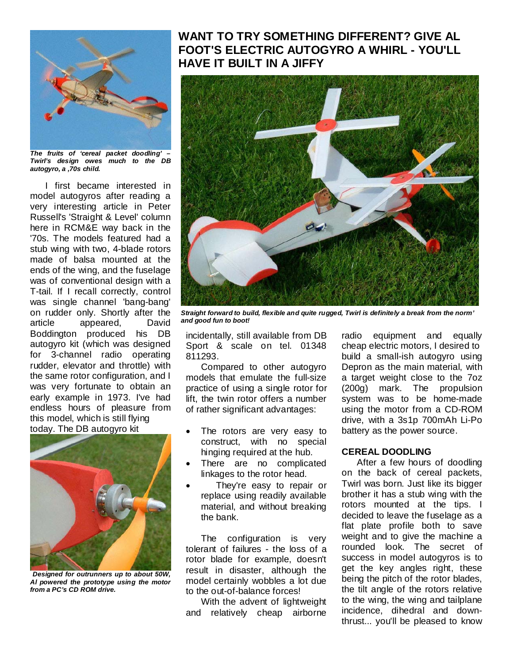

*The fruits of 'cereal packet doodling' – Twirl's design owes much to the DB autogyro, a ,70s child.* 

I first became interested in model autogyros after reading a very interesting article in Peter Russell's 'Straight & Level' column here in RCM&E way back in the '70s. The models featured had a stub wing with two, 4-blade rotors made of balsa mounted at the ends of the wing, and the fuselage was of conventional design with a T-tail. If I recall correctly, control was single channel 'bang-bang' on rudder only. Shortly after the article appeared, David Boddington produced his DB autogyro kit (which was designed for 3-channel radio operating rudder, elevator and throttle) with the same rotor configuration, and I was very fortunate to obtain an early example in 1973. I've had endless hours of pleasure from this model, which is still flying today. The DB autogyro kit



*Designed for outrunners up to about 50W, Al powered the prototype using the motor from a PC's CD ROM drive.* 

# **WANT TO TRY SOMETHING DIFFERENT? GIVE AL FOOT'S ELECTRIC AUTOGYRO A WHIRL - YOU'LL HAVE IT BUILT IN A JIFFY**



*Straight forward to build, flexible and quite rugged, Twirl is definitely a break from the norm' and good fun to boot!* 

incidentally, still available from DB Sport & scale on tel. 01348 811293.

Compared to other autogyro models that emulate the full-size practice of using a single rotor for lift, the twin rotor offers a number of rather significant advantages:

- The rotors are very easy to construct, with no special hinging required at the hub.
- There are no complicated linkages to the rotor head.
- They're easy to repair or replace using readily available material, and without breaking the bank.

The configuration is very tolerant of failures - the loss of a rotor blade for example, doesn't result in disaster, although the model certainly wobbles a lot due to the out-of-balance forces!

With the advent of lightweight and relatively cheap airborne

radio equipment and equally cheap electric motors, I desired to build a small-ish autogyro using Depron as the main material, with a target weight close to the 7oz (200g) mark. The propulsion system was to be home-made using the motor from a CD-ROM drive, with a 3s1p 700mAh Li-Po battery as the power source.

#### **CEREAL DOODLING**

After a few hours of doodling on the back of cereal packets, Twirl was born. Just like its bigger brother it has a stub wing with the rotors mounted at the tips. I decided to leave the fuselage as a flat plate profile both to save weight and to give the machine a rounded look. The secret of success in model autogyros is to get the key angles right, these being the pitch of the rotor blades, the tilt angle of the rotors relative to the wing, the wing and tailplane incidence, dihedral and downthrust... you'll be pleased to know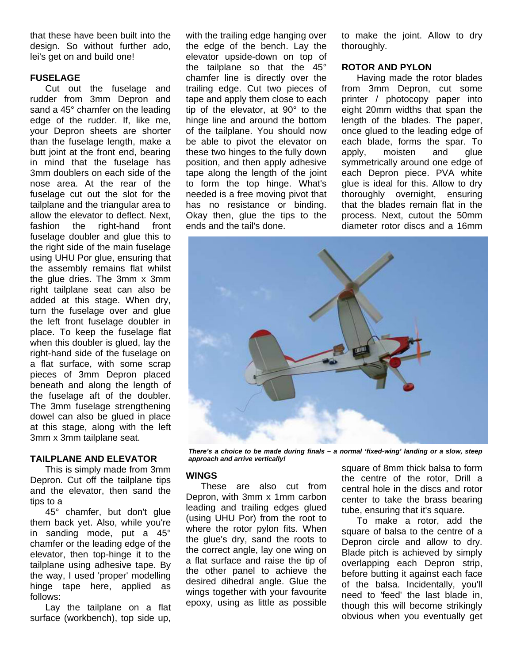that these have been built into the design. So without further ado, lei's get on and build one!

# **FUSELAGE**

Cut out the fuselage and rudder from 3mm Depron and sand a 45° chamfer on the leading edge of the rudder. If, like me, your Depron sheets are shorter than the fuselage length, make a butt joint at the front end, bearing in mind that the fuselage has 3mm doublers on each side of the nose area. At the rear of the fuselage cut out the slot for the tailplane and the triangular area to allow the elevator to deflect. Next, fashion the right-hand front fuselage doubler and glue this to the right side of the main fuselage using UHU Por glue, ensuring that the assembly remains flat whilst the glue dries. The 3mm x 3mm right tailplane seat can also be added at this stage. When dry, turn the fuselage over and glue the left front fuselage doubler in place. To keep the fuselage flat when this doubler is glued, lay the right-hand side of the fuselage on a flat surface, with some scrap pieces of 3mm Depron placed beneath and along the length of the fuselage aft of the doubler. The 3mm fuselage strengthening dowel can also be glued in place at this stage, along with the left 3mm x 3mm tailplane seat.

#### **TAILPLANE AND ELEVATOR**

This is simply made from 3mm Depron. Cut off the tailplane tips and the elevator, then sand the tips to a

45° chamfer, but don't glue them back yet. Also, while you're in sanding mode, put a 45° chamfer or the leading edge of the elevator, then top-hinge it to the tailplane using adhesive tape. By the way, I used 'proper' modelling hinge tape here, applied as follows:

Lay the tailplane on a flat surface (workbench), top side up,

with the trailing edge hanging over the edge of the bench. Lay the elevator upside-down on top of the tailplane so that the 45° chamfer line is directly over the trailing edge. Cut two pieces of tape and apply them close to each tip of the elevator, at 90° to the hinge line and around the bottom of the tailplane. You should now be able to pivot the elevator on these two hinges to the fully down position, and then apply adhesive tape along the length of the joint to form the top hinge. What's needed is a free moving pivot that has no resistance or binding. Okay then, glue the tips to the ends and the tail's done.

to make the joint. Allow to dry thoroughly.

# **ROTOR AND PYLON**

Having made the rotor blades from 3mm Depron, cut some printer / photocopy paper into eight 20mm widths that span the length of the blades. The paper, once glued to the leading edge of each blade, forms the spar. To apply, moisten and glue symmetrically around one edge of each Depron piece. PVA white glue is ideal for this. Allow to dry thoroughly overnight, ensuring that the blades remain flat in the process. Next, cutout the 50mm diameter rotor discs and a 16mm



*There's a choice to be made during finals – a normal 'fixed-wing' landing or a slow, steep approach and arrive vertically!*

# **WINGS**

These are also cut from Depron, with 3mm x 1mm carbon leading and trailing edges glued (using UHU Por) from the root to where the rotor pylon fits. When the glue's dry, sand the roots to the correct angle, lay one wing on a flat surface and raise the tip of the other panel to achieve the desired dihedral angle. Glue the wings together with your favourite epoxy, using as little as possible square of 8mm thick balsa to form the centre of the rotor, Drill a central hole in the discs and rotor center to take the brass bearing tube, ensuring that it's square.

To make a rotor, add the square of balsa to the centre of a Depron circle and allow to dry. Blade pitch is achieved by simply overlapping each Depron strip, before butting it against each face of the balsa. Incidentally, you'll need to 'feed' the last blade in, though this will become strikingly obvious when you eventually get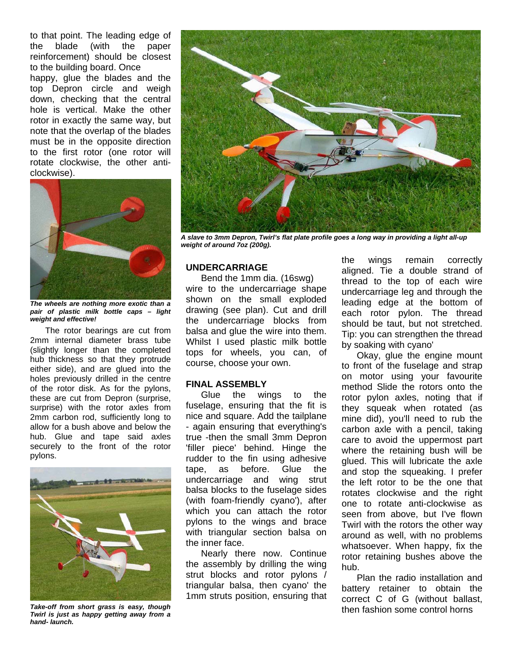to that point. The leading edge of the blade (with the paper reinforcement) should be closest to the building board. Once happy, glue the blades and the top Depron circle and weigh down, checking that the central hole is vertical. Make the other rotor in exactly the same way, but note that the overlap of the blades must be in the opposite direction to the first rotor (one rotor will rotate clockwise, the other anticlockwise).



*The wheels are nothing more exotic than a pair of plastic milk bottle caps – light weight and effective!*

The rotor bearings are cut from 2mm internal diameter brass tube (slightly longer than the completed hub thickness so that they protrude either side), and are glued into the holes previously drilled in the centre of the rotor disk. As for the pylons, these are cut from Depron (surprise, surprise) with the rotor axles from 2mm carbon rod, sufficiently long to allow for a bush above and below the hub. Glue and tape said axles securely to the front of the rotor pylons.



*Take-off from short grass is easy, though Twirl is just as happy getting away from a hand- launch.* 



*A slave to 3mm Depron, Twirl's flat plate profile goes a long way in providing a light all-up weight of around 7oz (200g).*

### **UNDERCARRIAGE**

Bend the 1mm dia. (16swg) wire to the undercarriage shape shown on the small exploded drawing (see plan). Cut and drill the undercarriage blocks from balsa and glue the wire into them. Whilst I used plastic milk bottle tops for wheels, you can, of course, choose your own.

#### **FINAL ASSEMBLY**

Glue the wings to the fuselage, ensuring that the fit is nice and square. Add the tailplane - again ensuring that everything's true -then the small 3mm Depron 'filler piece' behind. Hinge the rudder to the fin using adhesive tape, as before. Glue the undercarriage and wing strut balsa blocks to the fuselage sides (with foam-friendly cyano'), after which you can attach the rotor pylons to the wings and brace with triangular section balsa on the inner face.

Nearly there now. Continue the assembly by drilling the wing strut blocks and rotor pylons / triangular balsa, then cyano' the 1mm struts position, ensuring that the wings remain correctly aligned. Tie a double strand of thread to the top of each wire undercarriage leg and through the leading edge at the bottom of each rotor pylon. The thread should be taut, but not stretched. Tip: you can strengthen the thread by soaking with cyano'

Okay, glue the engine mount to front of the fuselage and strap on motor using your favourite method Slide the rotors onto the rotor pylon axles, noting that if they squeak when rotated (as mine did), you'll need to rub the carbon axle with a pencil, taking care to avoid the uppermost part where the retaining bush will be glued. This will lubricate the axle and stop the squeaking. I prefer the left rotor to be the one that rotates clockwise and the right one to rotate anti-clockwise as seen from above, but I've flown Twirl with the rotors the other way around as well, with no problems whatsoever. When happy, fix the rotor retaining bushes above the hub.

Plan the radio installation and battery retainer to obtain the correct C of G (without ballast, then fashion some control horns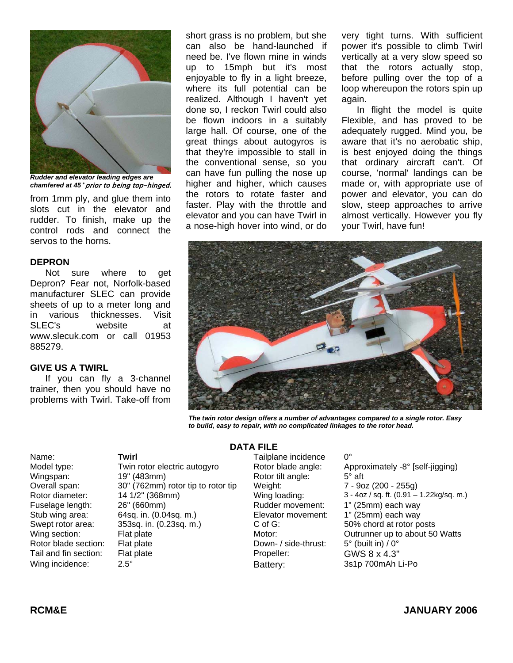

*Rudder and elevator leading edges are chamfered at 45*° prior to being top-hinged.

from 1mm ply, and glue them into slots cut in the elevator and rudder. To finish, make up the control rods and connect the servos to the horns.

### **DEPRON**

Not sure where to get Depron? Fear not, Norfolk-based manufacturer SLEC can provide sheets of up to a meter long and in various thicknesses. Visit SLEC's website at www.slecuk.com or call 01953 885279.

# **GIVE US A TWIRL**

If you can fly a 3-channel trainer, then you should have no problems with Twirl. Take-off from short grass is no problem, but she can also be hand-launched if need be. I've flown mine in winds up to 15mph but it's most enjoyable to fly in a light breeze, where its full potential can be realized. Although I haven't yet done so, I reckon Twirl could also be flown indoors in a suitably large hall. Of course, one of the great things about autogyros is that they're impossible to stall in the conventional sense, so you can have fun pulling the nose up higher and higher, which causes the rotors to rotate faster and faster. Play with the throttle and elevator and you can have Twirl in a nose-high hover into wind, or do

very tight turns. With sufficient power it's possible to climb Twirl vertically at a very slow speed so that the rotors actually stop, before pulling over the top of a loop whereupon the rotors spin up again.

In flight the model is quite Flexible, and has proved to be adequately rugged. Mind you, be aware that it's no aerobatic ship, is best enjoyed doing the things that ordinary aircraft can't. Of course, 'normal' landings can be made or, with appropriate use of power and elevator, you can do slow, steep approaches to arrive almost vertically. However you fly your Twirl, have fun!



*The twin rotor design offers a number of advantages compared to a single rotor. Easy to build, easy to repair, with no complicated linkages to the rotor head.*

Name: **Twirl** Twirl **The Contract Contract Tailplane** incidence 0°

Model type: Twin rotor electric autogyro Rotor blade angle: Approximately -8° [self-jigging) Wingspan: 19" (483mm) Rotor tilt angle: 5° aft Overall span: 30" (762mm) rotor tip to rotor tip Weight: 7 - 9oz (200 - 255g) Fuselage length: 26" (660mm) Rudder movement: 1" (25mm) each way Stub wing area: 64sq. in. (0.04sq. m.) Elevator movement: 1" (25mm) each way Swept rotor area: 353sq. in. (0.23sq. m.) C of G: 50% chord at rotor posts<br>
Wing section: Flat plate (50 Motor: 50 Motor: 50 Outrunner up to about 50 Wing section: Flat plate Fissile and Motor: Outrunner up to about 50 Watts<br>
Rotor blade section: Flat plate Fissile All Cown- / side-thrust: 5° (built in) / 0° Flat plate Section: Flat plate section: Flat plate Section: Flat plate Down- / side-thrust: 5° (built in) / 0° Tail and fin section: Flat plate **Propeller:** Propeller: GWS 8 x 4.3" Wing incidence:  $2.5^{\circ}$  2.5° Battery: 3s1p 700mAh Li-Po

# **DATA FILE**

Rotor diameter: 14 1/2" (368mm) Wing loading: 3 - 4oz / sq. ft. (0.91 – 1.22kg/sq. m.)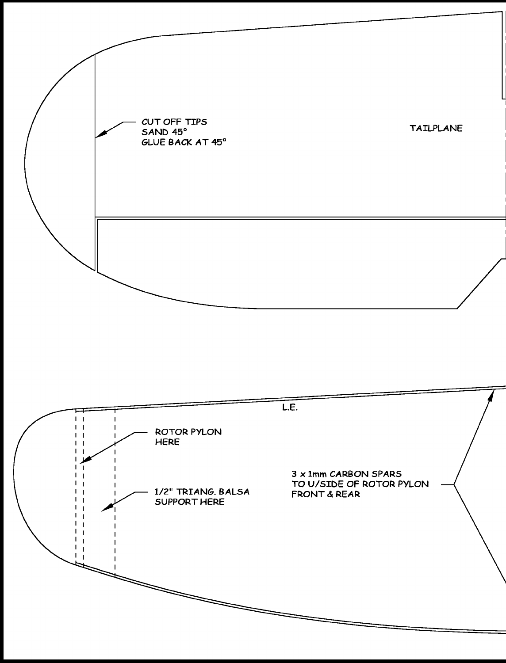

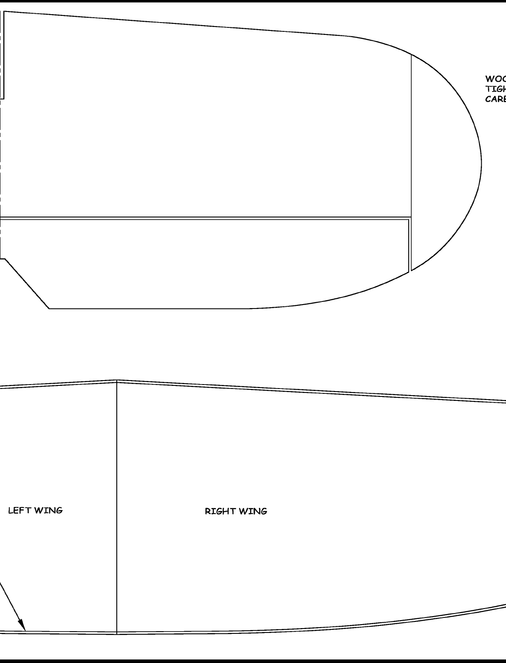

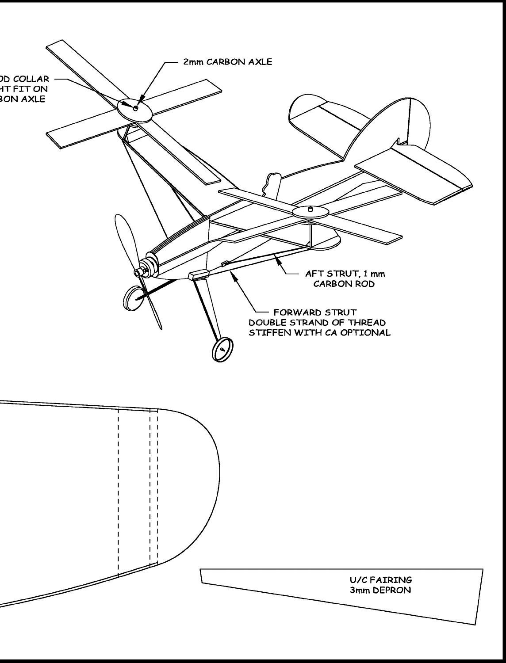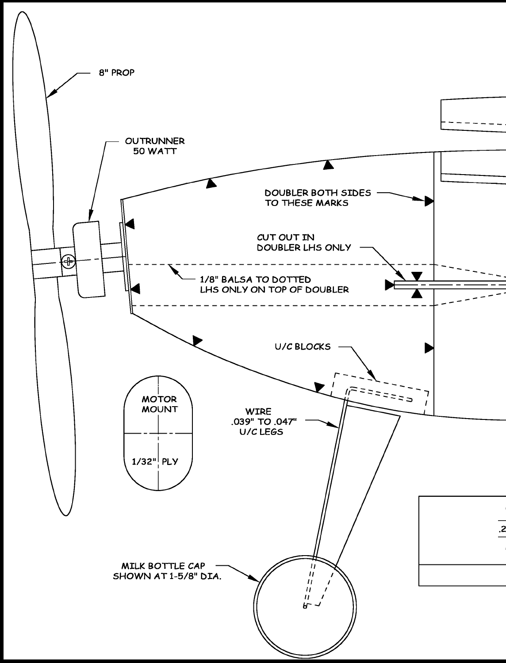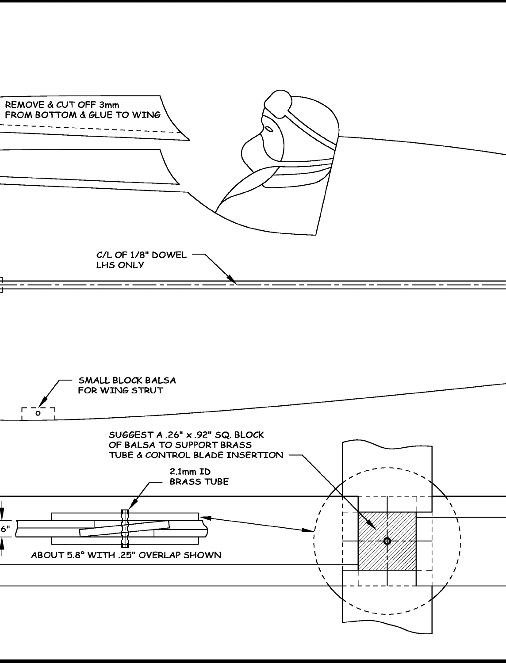

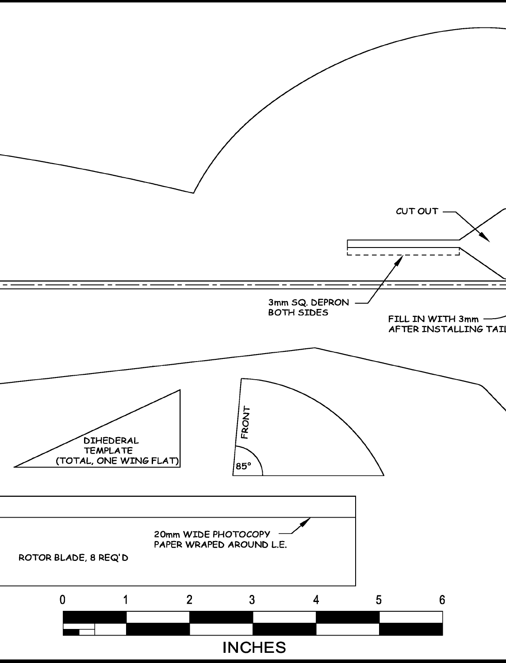